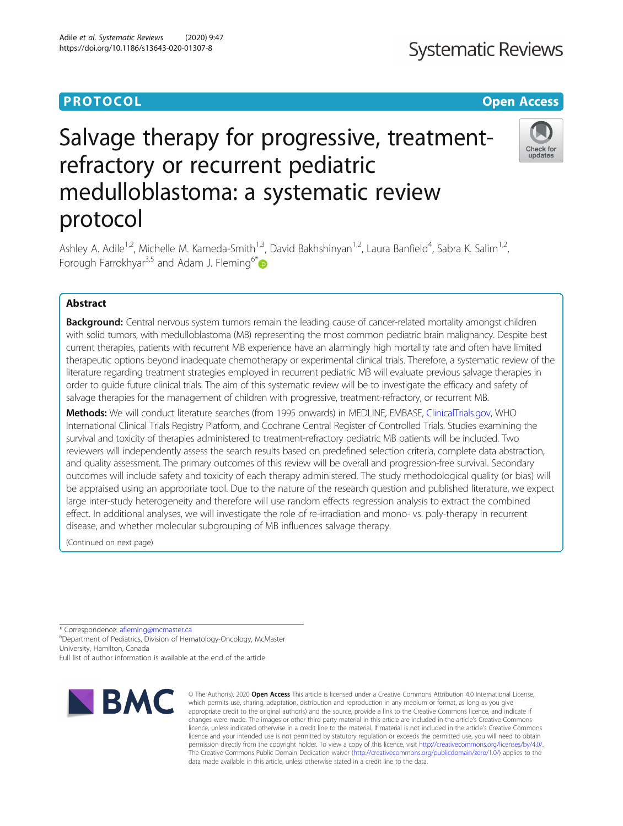# **PROTOCOL CONSUMING THE CONSUMING TEACHER CONSUMING THE CONSUMING TEACHER CONSUMING THE CONSUMING TEACHER CONSUMING**

# Salvage therapy for progressive, treatmentrefractory or recurrent pediatric medulloblastoma: a systematic review protocol



Ashley A. Adile<sup>1,2</sup>, Michelle M. Kameda-Smith<sup>1,3</sup>, David Bakhshinyan<sup>1,2</sup>, Laura Banfield<sup>4</sup>, Sabra K. Salim<sup>1,2</sup>, Forough Farrokhyar<sup>3,5</sup> and Adam J. Fleming<sup>6\*</sup>

## Abstract

**Background:** Central nervous system tumors remain the leading cause of cancer-related mortality amongst children with solid tumors, with medulloblastoma (MB) representing the most common pediatric brain malignancy. Despite best current therapies, patients with recurrent MB experience have an alarmingly high mortality rate and often have limited therapeutic options beyond inadequate chemotherapy or experimental clinical trials. Therefore, a systematic review of the literature regarding treatment strategies employed in recurrent pediatric MB will evaluate previous salvage therapies in order to guide future clinical trials. The aim of this systematic review will be to investigate the efficacy and safety of salvage therapies for the management of children with progressive, treatment-refractory, or recurrent MB.

Methods: We will conduct literature searches (from 1995 onwards) in MEDLINE, EMBASE, [ClinicalTrials.gov](http://clinicaltrials.gov), WHO International Clinical Trials Registry Platform, and Cochrane Central Register of Controlled Trials. Studies examining the survival and toxicity of therapies administered to treatment-refractory pediatric MB patients will be included. Two reviewers will independently assess the search results based on predefined selection criteria, complete data abstraction, and quality assessment. The primary outcomes of this review will be overall and progression-free survival. Secondary outcomes will include safety and toxicity of each therapy administered. The study methodological quality (or bias) will be appraised using an appropriate tool. Due to the nature of the research question and published literature, we expect large inter-study heterogeneity and therefore will use random effects regression analysis to extract the combined effect. In additional analyses, we will investigate the role of re-irradiation and mono- vs. poly-therapy in recurrent disease, and whether molecular subgrouping of MB influences salvage therapy.

(Continued on next page)

\* Correspondence: [afleming@mcmaster.ca](mailto:afleming@mcmaster.ca) <sup>6</sup>

Department of Pediatrics, Division of Hematology-Oncology, McMaster University, Hamilton, Canada Full list of author information is available at the end of the article



© The Author(s), 2020 **Open Access** This article is licensed under a Creative Commons Attribution 4.0 International License, which permits use, sharing, adaptation, distribution and reproduction in any medium or format, as long as you give appropriate credit to the original author(s) and the source, provide a link to the Creative Commons licence, and indicate if changes were made. The images or other third party material in this article are included in the article's Creative Commons licence, unless indicated otherwise in a credit line to the material. If material is not included in the article's Creative Commons licence and your intended use is not permitted by statutory regulation or exceeds the permitted use, you will need to obtain permission directly from the copyright holder. To view a copy of this licence, visit [http://creativecommons.org/licenses/by/4.0/.](http://creativecommons.org/licenses/by/4.0/) The Creative Commons Public Domain Dedication waiver [\(http://creativecommons.org/publicdomain/zero/1.0/](http://creativecommons.org/publicdomain/zero/1.0/)) applies to the data made available in this article, unless otherwise stated in a credit line to the data.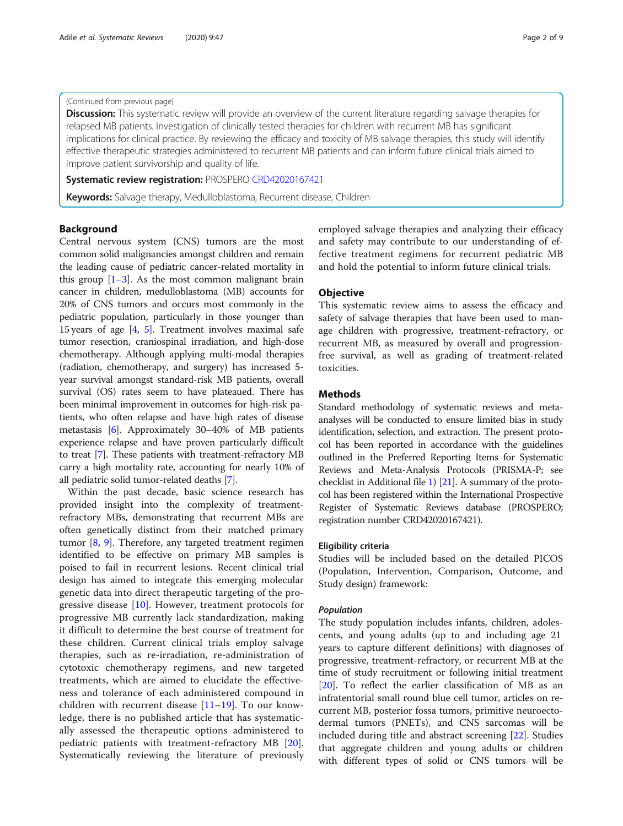#### (Continued from previous page)

Discussion: This systematic review will provide an overview of the current literature regarding salvage therapies for relapsed MB patients. Investigation of clinically tested therapies for children with recurrent MB has significant implications for clinical practice. By reviewing the efficacy and toxicity of MB salvage therapies, this study will identify effective therapeutic strategies administered to recurrent MB patients and can inform future clinical trials aimed to improve patient survivorship and quality of life.

Systematic review registration: PROSPERO [CRD42020167421](https://www.crd.york.ac.uk/PROSPERO/display_record.php?RecordID=167421)

Keywords: Salvage therapy, Medulloblastoma, Recurrent disease, Children

#### Background

Central nervous system (CNS) tumors are the most common solid malignancies amongst children and remain the leading cause of pediatric cancer-related mortality in this group  $[1-3]$  $[1-3]$  $[1-3]$  $[1-3]$  $[1-3]$ . As the most common malignant brain cancer in children, medulloblastoma (MB) accounts for 20% of CNS tumors and occurs most commonly in the pediatric population, particularly in those younger than 15 years of age [\[4](#page-6-0), [5\]](#page-6-0). Treatment involves maximal safe tumor resection, craniospinal irradiation, and high-dose chemotherapy. Although applying multi-modal therapies (radiation, chemotherapy, and surgery) has increased 5 year survival amongst standard-risk MB patients, overall survival (OS) rates seem to have plateaued. There has been minimal improvement in outcomes for high-risk patients, who often relapse and have high rates of disease metastasis [\[6](#page-6-0)]. Approximately 30–40% of MB patients experience relapse and have proven particularly difficult to treat [\[7](#page-7-0)]. These patients with treatment-refractory MB carry a high mortality rate, accounting for nearly 10% of all pediatric solid tumor-related deaths [\[7](#page-7-0)].

Within the past decade, basic science research has provided insight into the complexity of treatmentrefractory MBs, demonstrating that recurrent MBs are often genetically distinct from their matched primary tumor [[8,](#page-7-0) [9](#page-7-0)]. Therefore, any targeted treatment regimen identified to be effective on primary MB samples is poised to fail in recurrent lesions. Recent clinical trial design has aimed to integrate this emerging molecular genetic data into direct therapeutic targeting of the progressive disease [\[10](#page-7-0)]. However, treatment protocols for progressive MB currently lack standardization, making it difficult to determine the best course of treatment for these children. Current clinical trials employ salvage therapies, such as re-irradiation, re-administration of cytotoxic chemotherapy regimens, and new targeted treatments, which are aimed to elucidate the effectiveness and tolerance of each administered compound in children with recurrent disease  $[11-19]$  $[11-19]$  $[11-19]$  $[11-19]$ . To our knowledge, there is no published article that has systematically assessed the therapeutic options administered to pediatric patients with treatment-refractory MB [\[20](#page-7-0)]. Systematically reviewing the literature of previously

employed salvage therapies and analyzing their efficacy and safety may contribute to our understanding of effective treatment regimens for recurrent pediatric MB and hold the potential to inform future clinical trials.

#### **Objective**

This systematic review aims to assess the efficacy and safety of salvage therapies that have been used to manage children with progressive, treatment-refractory, or recurrent MB, as measured by overall and progressionfree survival, as well as grading of treatment-related toxicities.

### **Methods**

Standard methodology of systematic reviews and metaanalyses will be conducted to ensure limited bias in study identification, selection, and extraction. The present protocol has been reported in accordance with the guidelines outlined in the Preferred Reporting Items for Systematic Reviews and Meta-Analysis Protocols (PRISMA-P; see checklist in Additional file [1](#page-6-0)) [\[21](#page-7-0)]. A summary of the protocol has been registered within the International Prospective Register of Systematic Reviews database (PROSPERO; registration number CRD42020167421).

#### Eligibility criteria

Studies will be included based on the detailed PICOS (Population, Intervention, Comparison, Outcome, and Study design) framework:

#### Population

The study population includes infants, children, adolescents, and young adults (up to and including age 21 years to capture different definitions) with diagnoses of progressive, treatment-refractory, or recurrent MB at the time of study recruitment or following initial treatment [[20\]](#page-7-0). To reflect the earlier classification of MB as an infratentorial small round blue cell tumor, articles on recurrent MB, posterior fossa tumors, primitive neuroectodermal tumors (PNETs), and CNS sarcomas will be included during title and abstract screening [[22\]](#page-7-0). Studies that aggregate children and young adults or children with different types of solid or CNS tumors will be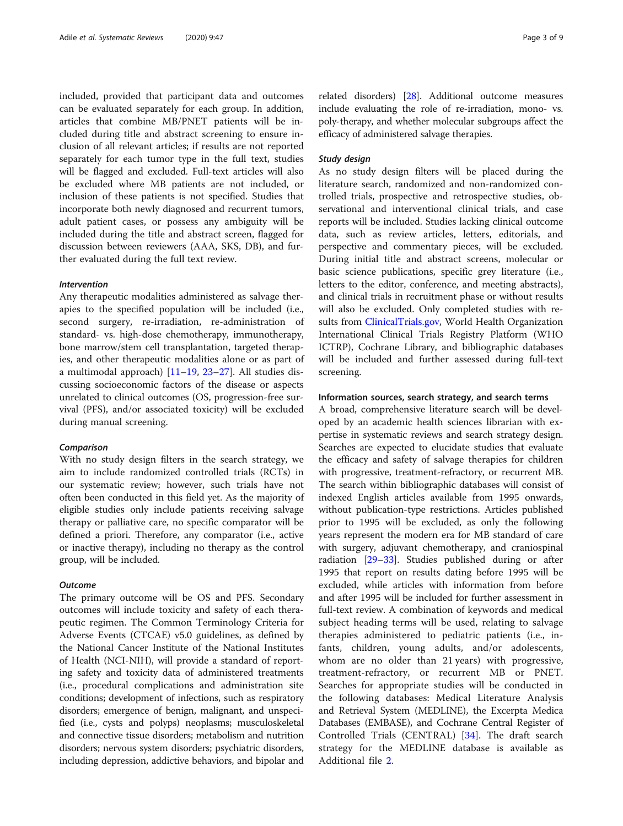included, provided that participant data and outcomes can be evaluated separately for each group. In addition, articles that combine MB/PNET patients will be included during title and abstract screening to ensure inclusion of all relevant articles; if results are not reported separately for each tumor type in the full text, studies will be flagged and excluded. Full-text articles will also be excluded where MB patients are not included, or inclusion of these patients is not specified. Studies that incorporate both newly diagnosed and recurrent tumors, adult patient cases, or possess any ambiguity will be included during the title and abstract screen, flagged for discussion between reviewers (AAA, SKS, DB), and further evaluated during the full text review.

#### Intervention

Any therapeutic modalities administered as salvage therapies to the specified population will be included (i.e., second surgery, re-irradiation, re-administration of standard- vs. high-dose chemotherapy, immunotherapy, bone marrow/stem cell transplantation, targeted therapies, and other therapeutic modalities alone or as part of a multimodal approach)  $[11–19, 23–27]$  $[11–19, 23–27]$  $[11–19, 23–27]$  $[11–19, 23–27]$  $[11–19, 23–27]$  $[11–19, 23–27]$  $[11–19, 23–27]$  $[11–19, 23–27]$  $[11–19, 23–27]$ . All studies discussing socioeconomic factors of the disease or aspects unrelated to clinical outcomes (OS, progression-free survival (PFS), and/or associated toxicity) will be excluded during manual screening.

#### Comparison

With no study design filters in the search strategy, we aim to include randomized controlled trials (RCTs) in our systematic review; however, such trials have not often been conducted in this field yet. As the majority of eligible studies only include patients receiving salvage therapy or palliative care, no specific comparator will be defined a priori. Therefore, any comparator (i.e., active or inactive therapy), including no therapy as the control group, will be included.

#### **Outcome**

The primary outcome will be OS and PFS. Secondary outcomes will include toxicity and safety of each therapeutic regimen. The Common Terminology Criteria for Adverse Events (CTCAE) v5.0 guidelines, as defined by the National Cancer Institute of the National Institutes of Health (NCI-NIH), will provide a standard of reporting safety and toxicity data of administered treatments (i.e., procedural complications and administration site conditions; development of infections, such as respiratory disorders; emergence of benign, malignant, and unspecified (i.e., cysts and polyps) neoplasms; musculoskeletal and connective tissue disorders; metabolism and nutrition disorders; nervous system disorders; psychiatric disorders, including depression, addictive behaviors, and bipolar and

related disorders) [\[28](#page-7-0)]. Additional outcome measures include evaluating the role of re-irradiation, mono- vs. poly-therapy, and whether molecular subgroups affect the efficacy of administered salvage therapies.

#### Study design

As no study design filters will be placed during the literature search, randomized and non-randomized controlled trials, prospective and retrospective studies, observational and interventional clinical trials, and case reports will be included. Studies lacking clinical outcome data, such as review articles, letters, editorials, and perspective and commentary pieces, will be excluded. During initial title and abstract screens, molecular or basic science publications, specific grey literature (i.e., letters to the editor, conference, and meeting abstracts), and clinical trials in recruitment phase or without results will also be excluded. Only completed studies with results from [ClinicalTrials.gov](http://clinicaltrials.gov), World Health Organization International Clinical Trials Registry Platform (WHO ICTRP), Cochrane Library, and bibliographic databases will be included and further assessed during full-text screening.

#### Information sources, search strategy, and search terms

A broad, comprehensive literature search will be developed by an academic health sciences librarian with expertise in systematic reviews and search strategy design. Searches are expected to elucidate studies that evaluate the efficacy and safety of salvage therapies for children with progressive, treatment-refractory, or recurrent MB. The search within bibliographic databases will consist of indexed English articles available from 1995 onwards, without publication-type restrictions. Articles published prior to 1995 will be excluded, as only the following years represent the modern era for MB standard of care with surgery, adjuvant chemotherapy, and craniospinal radiation [\[29](#page-7-0)–[33\]](#page-7-0). Studies published during or after 1995 that report on results dating before 1995 will be excluded, while articles with information from before and after 1995 will be included for further assessment in full-text review. A combination of keywords and medical subject heading terms will be used, relating to salvage therapies administered to pediatric patients (i.e., infants, children, young adults, and/or adolescents, whom are no older than 21 years) with progressive, treatment-refractory, or recurrent MB or PNET. Searches for appropriate studies will be conducted in the following databases: Medical Literature Analysis and Retrieval System (MEDLINE), the Excerpta Medica Databases (EMBASE), and Cochrane Central Register of Controlled Trials (CENTRAL) [[34\]](#page-7-0). The draft search strategy for the MEDLINE database is available as Additional file [2](#page-6-0).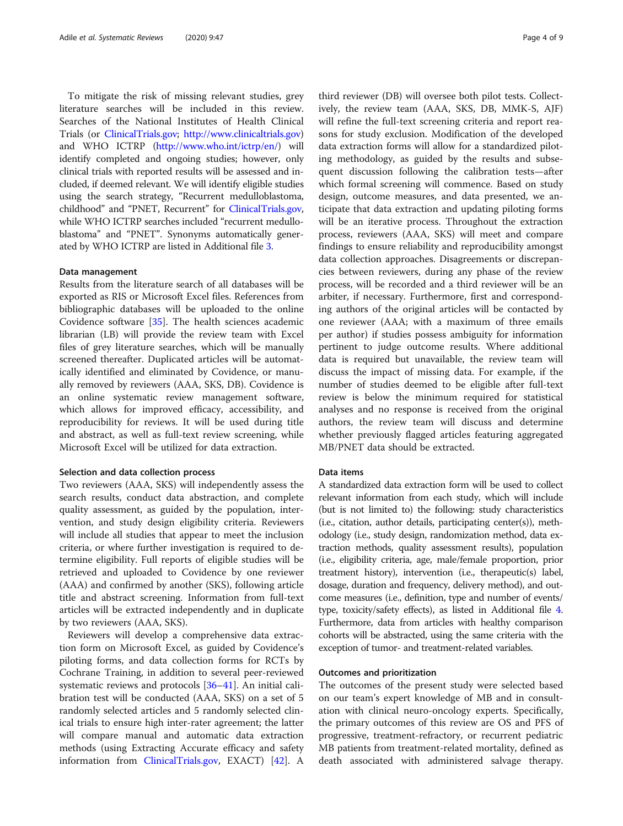To mitigate the risk of missing relevant studies, grey literature searches will be included in this review. Searches of the National Institutes of Health Clinical Trials (or [ClinicalTrials.gov](http://clinicaltrials.gov); <http://www.clinicaltrials.gov>) and WHO ICTRP [\(http://www.who.int/ictrp/en/\)](http://www.who.int/ictrp/en/) will identify completed and ongoing studies; however, only clinical trials with reported results will be assessed and included, if deemed relevant. We will identify eligible studies using the search strategy, "Recurrent medulloblastoma, childhood" and "PNET, Recurrent" for [ClinicalTrials.gov](http://clinicaltrials.gov), while WHO ICTRP searches included "recurrent medulloblastoma" and "PNET". Synonyms automatically generated by WHO ICTRP are listed in Additional file [3](#page-6-0).

#### Data management

Results from the literature search of all databases will be exported as RIS or Microsoft Excel files. References from bibliographic databases will be uploaded to the online Covidence software [\[35](#page-7-0)]. The health sciences academic librarian (LB) will provide the review team with Excel files of grey literature searches, which will be manually screened thereafter. Duplicated articles will be automatically identified and eliminated by Covidence, or manually removed by reviewers (AAA, SKS, DB). Covidence is an online systematic review management software, which allows for improved efficacy, accessibility, and reproducibility for reviews. It will be used during title and abstract, as well as full-text review screening, while Microsoft Excel will be utilized for data extraction.

#### Selection and data collection process

Two reviewers (AAA, SKS) will independently assess the search results, conduct data abstraction, and complete quality assessment, as guided by the population, intervention, and study design eligibility criteria. Reviewers will include all studies that appear to meet the inclusion criteria, or where further investigation is required to determine eligibility. Full reports of eligible studies will be retrieved and uploaded to Covidence by one reviewer (AAA) and confirmed by another (SKS), following article title and abstract screening. Information from full-text articles will be extracted independently and in duplicate by two reviewers (AAA, SKS).

Reviewers will develop a comprehensive data extraction form on Microsoft Excel, as guided by Covidence's piloting forms, and data collection forms for RCTs by Cochrane Training, in addition to several peer-reviewed systematic reviews and protocols [[36](#page-7-0)–[41](#page-7-0)]. An initial calibration test will be conducted (AAA, SKS) on a set of 5 randomly selected articles and 5 randomly selected clinical trials to ensure high inter-rater agreement; the latter will compare manual and automatic data extraction methods (using Extracting Accurate efficacy and safety information from [ClinicalTrials.gov,](http://clinicaltrials.gov) EXACT) [\[42\]](#page-7-0). A

third reviewer (DB) will oversee both pilot tests. Collectively, the review team (AAA, SKS, DB, MMK-S, AJF) will refine the full-text screening criteria and report reasons for study exclusion. Modification of the developed data extraction forms will allow for a standardized piloting methodology, as guided by the results and subsequent discussion following the calibration tests—after which formal screening will commence. Based on study design, outcome measures, and data presented, we anticipate that data extraction and updating piloting forms will be an iterative process. Throughout the extraction process, reviewers (AAA, SKS) will meet and compare findings to ensure reliability and reproducibility amongst data collection approaches. Disagreements or discrepancies between reviewers, during any phase of the review process, will be recorded and a third reviewer will be an arbiter, if necessary. Furthermore, first and corresponding authors of the original articles will be contacted by one reviewer (AAA; with a maximum of three emails per author) if studies possess ambiguity for information pertinent to judge outcome results. Where additional data is required but unavailable, the review team will discuss the impact of missing data. For example, if the number of studies deemed to be eligible after full-text review is below the minimum required for statistical analyses and no response is received from the original authors, the review team will discuss and determine whether previously flagged articles featuring aggregated MB/PNET data should be extracted.

#### Data items

A standardized data extraction form will be used to collect relevant information from each study, which will include (but is not limited to) the following: study characteristics (i.e., citation, author details, participating center(s)), methodology (i.e., study design, randomization method, data extraction methods, quality assessment results), population (i.e., eligibility criteria, age, male/female proportion, prior treatment history), intervention (i.e., therapeutic(s) label, dosage, duration and frequency, delivery method), and outcome measures (i.e., definition, type and number of events/ type, toxicity/safety effects), as listed in Additional file [4](#page-6-0). Furthermore, data from articles with healthy comparison cohorts will be abstracted, using the same criteria with the exception of tumor- and treatment-related variables.

#### Outcomes and prioritization

The outcomes of the present study were selected based on our team's expert knowledge of MB and in consultation with clinical neuro-oncology experts. Specifically, the primary outcomes of this review are OS and PFS of progressive, treatment-refractory, or recurrent pediatric MB patients from treatment-related mortality, defined as death associated with administered salvage therapy.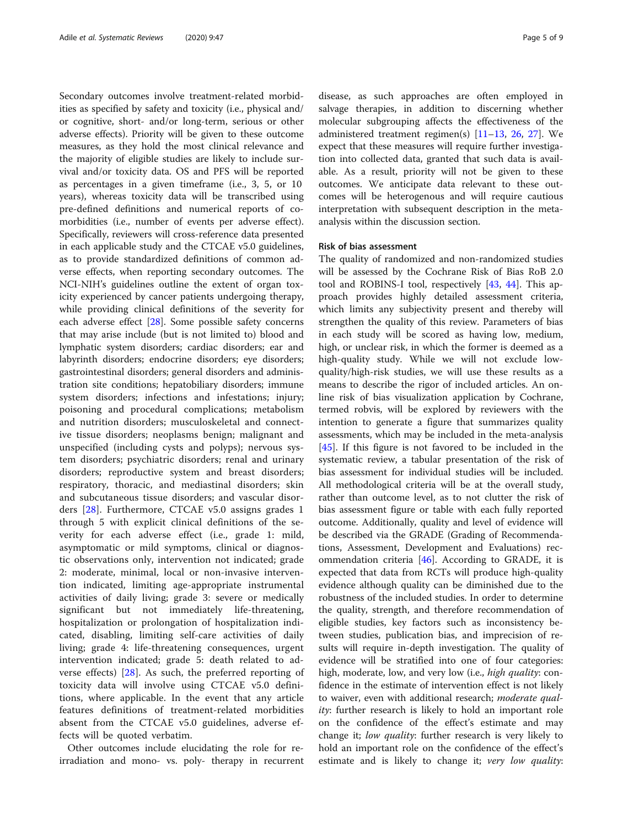Secondary outcomes involve treatment-related morbidities as specified by safety and toxicity (i.e., physical and/ or cognitive, short- and/or long-term, serious or other adverse effects). Priority will be given to these outcome measures, as they hold the most clinical relevance and the majority of eligible studies are likely to include survival and/or toxicity data. OS and PFS will be reported as percentages in a given timeframe (i.e., 3, 5, or 10 years), whereas toxicity data will be transcribed using pre-defined definitions and numerical reports of comorbidities (i.e., number of events per adverse effect). Specifically, reviewers will cross-reference data presented in each applicable study and the CTCAE v5.0 guidelines, as to provide standardized definitions of common adverse effects, when reporting secondary outcomes. The NCI-NIH's guidelines outline the extent of organ toxicity experienced by cancer patients undergoing therapy, while providing clinical definitions of the severity for each adverse effect [[28](#page-7-0)]. Some possible safety concerns that may arise include (but is not limited to) blood and lymphatic system disorders; cardiac disorders; ear and labyrinth disorders; endocrine disorders; eye disorders; gastrointestinal disorders; general disorders and administration site conditions; hepatobiliary disorders; immune system disorders; infections and infestations; injury; poisoning and procedural complications; metabolism and nutrition disorders; musculoskeletal and connective tissue disorders; neoplasms benign; malignant and unspecified (including cysts and polyps); nervous system disorders; psychiatric disorders; renal and urinary disorders; reproductive system and breast disorders; respiratory, thoracic, and mediastinal disorders; skin and subcutaneous tissue disorders; and vascular disorders [[28\]](#page-7-0). Furthermore, CTCAE v5.0 assigns grades 1 through 5 with explicit clinical definitions of the severity for each adverse effect (i.e., grade 1: mild, asymptomatic or mild symptoms, clinical or diagnostic observations only, intervention not indicated; grade 2: moderate, minimal, local or non-invasive intervention indicated, limiting age-appropriate instrumental activities of daily living; grade 3: severe or medically significant but not immediately life-threatening, hospitalization or prolongation of hospitalization indicated, disabling, limiting self-care activities of daily living; grade 4: life-threatening consequences, urgent intervention indicated; grade 5: death related to adverse effects) [\[28](#page-7-0)]. As such, the preferred reporting of toxicity data will involve using CTCAE v5.0 definitions, where applicable. In the event that any article features definitions of treatment-related morbidities absent from the CTCAE v5.0 guidelines, adverse effects will be quoted verbatim.

Other outcomes include elucidating the role for reirradiation and mono- vs. poly- therapy in recurrent disease, as such approaches are often employed in salvage therapies, in addition to discerning whether molecular subgrouping affects the effectiveness of the administered treatment regimen(s)  $[11–13, 26, 27]$  $[11–13, 26, 27]$  $[11–13, 26, 27]$  $[11–13, 26, 27]$  $[11–13, 26, 27]$  $[11–13, 26, 27]$  $[11–13, 26, 27]$  $[11–13, 26, 27]$ . We expect that these measures will require further investigation into collected data, granted that such data is available. As a result, priority will not be given to these outcomes. We anticipate data relevant to these outcomes will be heterogenous and will require cautious interpretation with subsequent description in the metaanalysis within the discussion section.

#### Risk of bias assessment

The quality of randomized and non-randomized studies will be assessed by the Cochrane Risk of Bias RoB 2.0 tool and ROBINS-I tool, respectively [\[43](#page-7-0), [44\]](#page-8-0). This approach provides highly detailed assessment criteria, which limits any subjectivity present and thereby will strengthen the quality of this review. Parameters of bias in each study will be scored as having low, medium, high, or unclear risk, in which the former is deemed as a high-quality study. While we will not exclude lowquality/high-risk studies, we will use these results as a means to describe the rigor of included articles. An online risk of bias visualization application by Cochrane, termed robvis, will be explored by reviewers with the intention to generate a figure that summarizes quality assessments, which may be included in the meta-analysis [[45\]](#page-8-0). If this figure is not favored to be included in the systematic review, a tabular presentation of the risk of bias assessment for individual studies will be included. All methodological criteria will be at the overall study, rather than outcome level, as to not clutter the risk of bias assessment figure or table with each fully reported outcome. Additionally, quality and level of evidence will be described via the GRADE (Grading of Recommendations, Assessment, Development and Evaluations) recommendation criteria [[46\]](#page-8-0). According to GRADE, it is expected that data from RCTs will produce high-quality evidence although quality can be diminished due to the robustness of the included studies. In order to determine the quality, strength, and therefore recommendation of eligible studies, key factors such as inconsistency between studies, publication bias, and imprecision of results will require in-depth investigation. The quality of evidence will be stratified into one of four categories: high, moderate, low, and very low (i.e., *high quality*: confidence in the estimate of intervention effect is not likely to waiver, even with additional research; *moderate qual*ity: further research is likely to hold an important role on the confidence of the effect's estimate and may change it; low quality: further research is very likely to hold an important role on the confidence of the effect's estimate and is likely to change it; very low quality: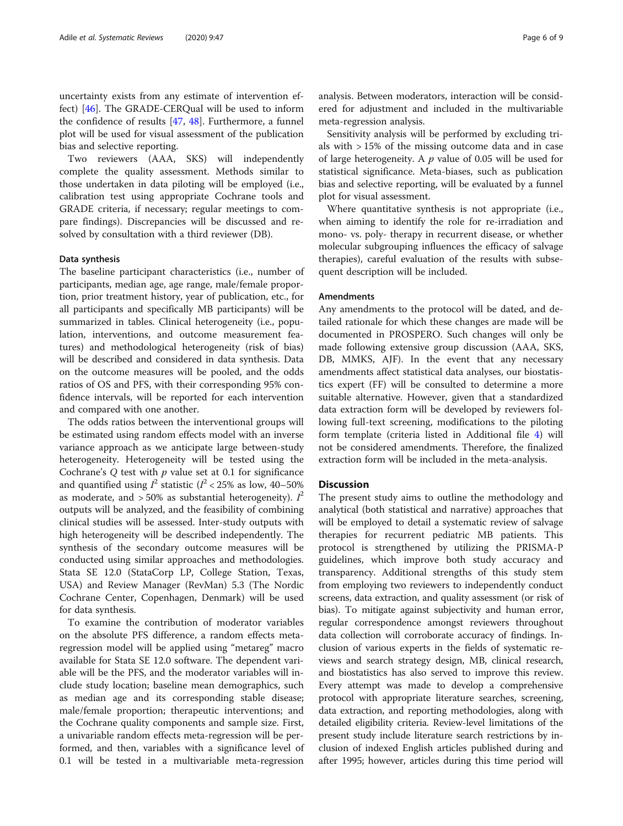uncertainty exists from any estimate of intervention effect) [\[46](#page-8-0)]. The GRADE-CERQual will be used to inform the confidence of results [\[47](#page-8-0), [48](#page-8-0)]. Furthermore, a funnel plot will be used for visual assessment of the publication bias and selective reporting.

Two reviewers (AAA, SKS) will independently complete the quality assessment. Methods similar to those undertaken in data piloting will be employed (i.e., calibration test using appropriate Cochrane tools and GRADE criteria, if necessary; regular meetings to compare findings). Discrepancies will be discussed and resolved by consultation with a third reviewer (DB).

#### Data synthesis

The baseline participant characteristics (i.e., number of participants, median age, age range, male/female proportion, prior treatment history, year of publication, etc., for all participants and specifically MB participants) will be summarized in tables. Clinical heterogeneity (i.e., population, interventions, and outcome measurement features) and methodological heterogeneity (risk of bias) will be described and considered in data synthesis. Data on the outcome measures will be pooled, and the odds ratios of OS and PFS, with their corresponding 95% confidence intervals, will be reported for each intervention and compared with one another.

The odds ratios between the interventional groups will be estimated using random effects model with an inverse variance approach as we anticipate large between-study heterogeneity. Heterogeneity will be tested using the Cochrane's  $Q$  test with  $p$  value set at 0.1 for significance and quantified using  $l^2$  statistic ( $l^2$  < 25% as low, 40–50% as moderate, and  $>50\%$  as substantial heterogeneity).  $I^2$ outputs will be analyzed, and the feasibility of combining clinical studies will be assessed. Inter-study outputs with high heterogeneity will be described independently. The synthesis of the secondary outcome measures will be conducted using similar approaches and methodologies. Stata SE 12.0 (StataCorp LP, College Station, Texas, USA) and Review Manager (RevMan) 5.3 (The Nordic Cochrane Center, Copenhagen, Denmark) will be used for data synthesis.

To examine the contribution of moderator variables on the absolute PFS difference, a random effects metaregression model will be applied using "metareg" macro available for Stata SE 12.0 software. The dependent variable will be the PFS, and the moderator variables will include study location; baseline mean demographics, such as median age and its corresponding stable disease; male/female proportion; therapeutic interventions; and the Cochrane quality components and sample size. First, a univariable random effects meta-regression will be performed, and then, variables with a significance level of 0.1 will be tested in a multivariable meta-regression analysis. Between moderators, interaction will be considered for adjustment and included in the multivariable meta-regression analysis.

Sensitivity analysis will be performed by excluding trials with > 15% of the missing outcome data and in case of large heterogeneity. A  $p$  value of 0.05 will be used for statistical significance. Meta-biases, such as publication bias and selective reporting, will be evaluated by a funnel plot for visual assessment.

Where quantitative synthesis is not appropriate (i.e., when aiming to identify the role for re-irradiation and mono- vs. poly- therapy in recurrent disease, or whether molecular subgrouping influences the efficacy of salvage therapies), careful evaluation of the results with subsequent description will be included.

#### Amendments

Any amendments to the protocol will be dated, and detailed rationale for which these changes are made will be documented in PROSPERO. Such changes will only be made following extensive group discussion (AAA, SKS, DB, MMKS, AJF). In the event that any necessary amendments affect statistical data analyses, our biostatistics expert (FF) will be consulted to determine a more suitable alternative. However, given that a standardized data extraction form will be developed by reviewers following full-text screening, modifications to the piloting form template (criteria listed in Additional file [4](#page-6-0)) will not be considered amendments. Therefore, the finalized extraction form will be included in the meta-analysis.

#### **Discussion**

The present study aims to outline the methodology and analytical (both statistical and narrative) approaches that will be employed to detail a systematic review of salvage therapies for recurrent pediatric MB patients. This protocol is strengthened by utilizing the PRISMA-P guidelines, which improve both study accuracy and transparency. Additional strengths of this study stem from employing two reviewers to independently conduct screens, data extraction, and quality assessment (or risk of bias). To mitigate against subjectivity and human error, regular correspondence amongst reviewers throughout data collection will corroborate accuracy of findings. Inclusion of various experts in the fields of systematic reviews and search strategy design, MB, clinical research, and biostatistics has also served to improve this review. Every attempt was made to develop a comprehensive protocol with appropriate literature searches, screening, data extraction, and reporting methodologies, along with detailed eligibility criteria. Review-level limitations of the present study include literature search restrictions by inclusion of indexed English articles published during and after 1995; however, articles during this time period will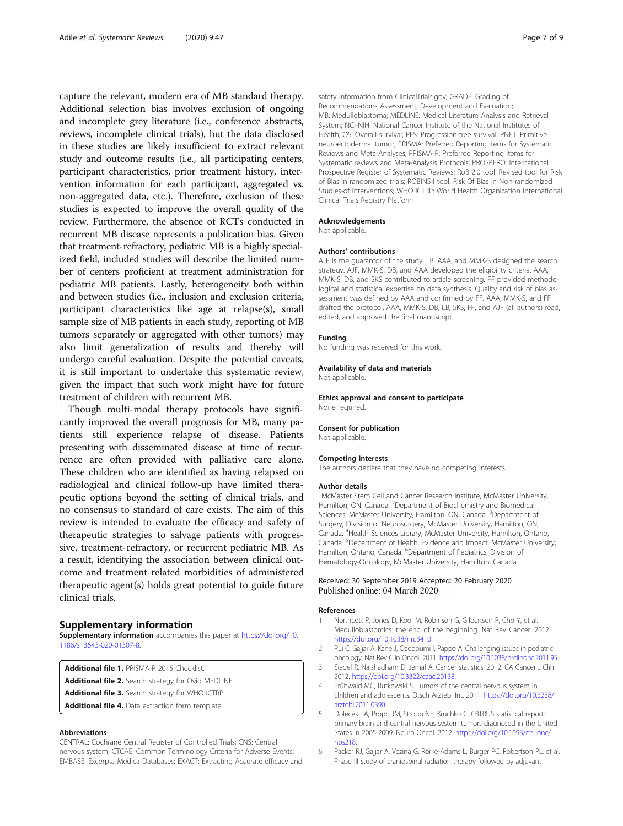<span id="page-6-0"></span>capture the relevant, modern era of MB standard therapy. Additional selection bias involves exclusion of ongoing and incomplete grey literature (i.e., conference abstracts, reviews, incomplete clinical trials), but the data disclosed in these studies are likely insufficient to extract relevant study and outcome results (i.e., all participating centers, participant characteristics, prior treatment history, intervention information for each participant, aggregated vs. non-aggregated data, etc.). Therefore, exclusion of these studies is expected to improve the overall quality of the review. Furthermore, the absence of RCTs conducted in recurrent MB disease represents a publication bias. Given that treatment-refractory, pediatric MB is a highly specialized field, included studies will describe the limited number of centers proficient at treatment administration for pediatric MB patients. Lastly, heterogeneity both within and between studies (i.e., inclusion and exclusion criteria, participant characteristics like age at relapse(s), small sample size of MB patients in each study, reporting of MB tumors separately or aggregated with other tumors) may also limit generalization of results and thereby will undergo careful evaluation. Despite the potential caveats, it is still important to undertake this systematic review, given the impact that such work might have for future treatment of children with recurrent MB.

Though multi-modal therapy protocols have significantly improved the overall prognosis for MB, many patients still experience relapse of disease. Patients presenting with disseminated disease at time of recurrence are often provided with palliative care alone. These children who are identified as having relapsed on radiological and clinical follow-up have limited therapeutic options beyond the setting of clinical trials, and no consensus to standard of care exists. The aim of this review is intended to evaluate the efficacy and safety of therapeutic strategies to salvage patients with progressive, treatment-refractory, or recurrent pediatric MB. As a result, identifying the association between clinical outcome and treatment-related morbidities of administered therapeutic agent(s) holds great potential to guide future clinical trials.

### Supplementary information

Supplementary information accompanies this paper at [https://doi.org/10.](https://doi.org/10.1186/s13643-020-01307-8) [1186/s13643-020-01307-8](https://doi.org/10.1186/s13643-020-01307-8).

Additional file 1. PRISMA-P 2015 Checklist.

Additional file 2. Search strategy for Ovid MEDLINE.

Additional file 3. Search strategy for WHO ICTRP.

Additional file 4. Data extraction form template.

#### Abbreviations

CENTRAL: Cochrane Central Register of Controlled Trials; CNS: Central nervous system; CTCAE: Common Terminology Criteria for Adverse Events; EMBASE: Excerpta Medica Databases; EXACT: Extracting Accurate efficacy and

safety information from ClinicalTrials.gov; GRADE: Grading of Recommendations Assessment, Development and Evaluation; MB: Medulloblastoma; MEDLINE: Medical Literature Analysis and Retrieval System; NCI-NIH: National Cancer Institute of the National Institutes of Health; OS: Overall survival; PFS: Progression-free survival; PNET: Primitive neuroectodermal tumor; PRISMA: Preferred Reporting Items for Systematic Reviews and Meta-Analyses; PRISMA-P: Preferred Reporting Items for Systematic reviews and Meta-Analysis Protocols; PROSPERO: International Prospective Register of Systematic Reviews; RoB 2.0 tool: Revised tool for Risk of Bias in randomized trials; ROBINS-I tool: Risk Of Bias in Non-randomized Studies-of Interventions; WHO ICTRP: World Health Organization International Clinical Trials Registry Platform

#### Acknowledgements

Not applicable.

#### Authors' contributions

AJF is the guarantor of the study. LB, AAA, and MMK-S designed the search strategy. AJF, MMK-S, DB, and AAA developed the eligibility criteria. AAA, MMK-S, DB, and SKS contributed to article screening. FF provided methodological and statistical expertise on data synthesis. Quality and risk of bias assessment was defined by AAA and confirmed by FF. AAA, MMK-S, and FF drafted the protocol. AAA, MMK-S, DB, LB, SKS, FF, and AJF (all authors) read, edited, and approved the final manuscript.

#### Funding

No funding was received for this work.

#### Availability of data and materials

Not applicable.

Ethics approval and consent to participate None required.

#### Consent for publication

Not applicable.

#### Competing interests

The authors declare that they have no competing interests.

#### Author details

<sup>1</sup>McMaster Stem Cell and Cancer Research Institute, McMaster University Hamilton, ON, Canada. <sup>2</sup>Department of Biochemistry and Biomedical Sciences, McMaster University, Hamilton, ON, Canada. <sup>3</sup>Department of Surgery, Division of Neurosurgery, McMaster University, Hamilton, ON, Canada. <sup>4</sup> Health Sciences Library, McMaster University, Hamilton, Ontario, Canada. <sup>5</sup>Department of Health, Evidence and Impact, McMaster University Hamilton, Ontario, Canada. <sup>6</sup>Department of Pediatrics, Division of Hematology-Oncology, McMaster University, Hamilton, Canada.

#### Received: 30 September 2019 Accepted: 20 February 2020 Published online: 04 March 2020

#### References

- 1. Northcott P, Jones D, Kool M, Robinson G, Gilbertson R, Cho Y, et al. Medulloblastomics: the end of the beginning. Nat Rev Cancer. 2012. <https://doi.org/10.1038/nrc3410>.
- 2. Pui C, Gajjar A, Kane J, Qaddoumi I, Pappo A. Challenging issues in pediatric oncology. Nat Rev Clin Oncol. 2011. [https://doi.org/10.1038/nrclinonc.2011.95.](https://doi.org/10.1038/nrclinonc.2011.95)
- 3. Siegel R, Naishadham D, Jemal A. Cancer statistics, 2012. CA Cancer J Clin. 2012. [https://doi.org/10.3322/caac.20138.](https://doi.org/10.3322/caac.20138)
- 4. Frühwald MC, Rutkowski S. Tumors of the central nervous system in children and adolescents. Dtsch Arztebl Int. 2011. [https://doi.org/10.3238/](https://doi.org/10.3238/arztebl.2011.0390) [arztebl.2011.0390](https://doi.org/10.3238/arztebl.2011.0390).
- 5. Dolecek TA, Propp JM, Stroup NE, Kruchko C. CBTRUS statistical report: primary brain and central nervous system tumors diagnosed in the United States in 2005-2009. Neuro Oncol. 2012. [https://doi.org/10.1093/neuonc/](https://doi.org/10.1093/neuonc/nos218) [nos218](https://doi.org/10.1093/neuonc/nos218).
- 6. Packer RJ, Gajjar A, Vezina G, Rorke-Adams L, Burger PC, Robertson PL, et al. Phase III study of craniospinal radiation therapy followed by adjuvant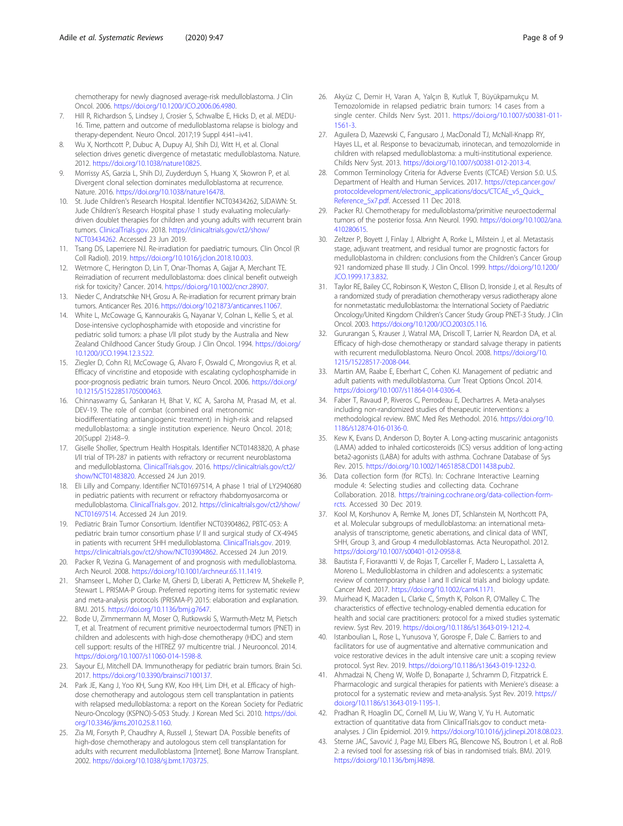<span id="page-7-0"></span>chemotherapy for newly diagnosed average-risk medulloblastoma. J Clin Oncol. 2006. <https://doi.org/10.1200/JCO.2006.06.4980>.

- 7. Hill R, Richardson S, Lindsey J, Crosier S, Schwalbe E, Hicks D, et al. MEDU-16. Time, pattern and outcome of medulloblastoma relapse is biology and therapy-dependent. Neuro Oncol. 2017;19 Suppl 4:i41–iv41.
- 8. Wu X, Northcott P, Dubuc A, Dupuy AJ, Shih DJ, Witt H, et al. Clonal selection drives genetic divergence of metastatic medulloblastoma. Nature. 2012. <https://doi.org/10.1038/nature10825>.
- 9. Morrissy AS, Garzia L, Shih DJ, Zuyderduyn S, Huang X, Skowron P, et al. Divergent clonal selection dominates medulloblastoma at recurrence. Nature. 2016. [https://doi.org/10.1038/nature16478.](https://doi.org/10.1038/nature16478)
- 10. St. Jude Children's Research Hospital. Identifier NCT03434262, SJDAWN: St. Jude Children's Research Hospital phase 1 study evaluating molecularlydriven doublet therapies for children and young adults with recurrent brain tumors. [ClinicalTrials.gov](http://clinicaltrials.gov). 2018. [https://clinicaltrials.gov/ct2/show/](https://clinicaltrials.gov/ct2/show/NCT03434262) [NCT03434262.](https://clinicaltrials.gov/ct2/show/NCT03434262) Accessed 23 Jun 2019.
- 11. Tsang DS, Laperriere NJ. Re-irradiation for paediatric tumours. Clin Oncol (R Coll Radiol). 2019. <https://doi.org/10.1016/j.clon.2018.10.003>.
- 12. Wetmore C, Herington D, Lin T, Onar-Thomas A, Gajjar A, Merchant TE. Reirradiation of recurrent medulloblastoma: does clinical benefit outweigh risk for toxicity? Cancer. 2014. <https://doi.org/10.1002/cncr.28907>.
- 13. Nieder C, Andratschke NH, Grosu A. Re-irradiation for recurrent primary brain tumors. Anticancer Res. 2016. <https://doi.org/10.21873/anticanres.11067>.
- 14. White L, McCowage G, Kannourakis G, Nayanar V, Colnan L, Kellie S, et al. Dose-intensive cyclophosphamide with etoposide and vincristine for pediatric solid tumors: a phase I/II pilot study by the Australia and New Zealand Childhood Cancer Study Group. J Clin Oncol. 1994. [https://doi.org/](https://doi.org/10.1200/JCO.1994.12.3.522) [10.1200/JCO.1994.12.3.522.](https://doi.org/10.1200/JCO.1994.12.3.522)
- 15. Ziegler D, Cohn RJ, McCowage G, Alvaro F, Oswald C, Mrongovius R, et al. Efficacy of vincristine and etoposide with escalating cyclophosphamide in poor-prognosis pediatric brain tumors. Neuro Oncol. 2006. [https://doi.org/](https://doi.org/10.1215/S1522851705000463) [10.1215/S1522851705000463.](https://doi.org/10.1215/S1522851705000463)
- 16. Chinnaswamy G, Sankaran H, Bhat V, KC A, Saroha M, Prasad M, et al. DEV-19. The role of combat (combined oral metronomic biodifferentiating antiangiogenic treatment) in high-risk and relapsed medulloblastoma: a single institution experience. Neuro Oncol. 2018; 20(Suppl 2):i48–9.
- 17. Giselle Sholler, Spectrum Health Hospitals. Identifier NCT01483820, A phase I/II trial of TPI-287 in patients with refractory or recurrent neuroblastoma and medulloblastoma. [ClinicalTrials.gov.](http://clinicaltrials.gov) 2016. [https://clinicaltrials.gov/ct2/](https://clinicaltrials.gov/ct2/show/NCT01483820) [show/NCT01483820.](https://clinicaltrials.gov/ct2/show/NCT01483820) Accessed 24 Jun 2019.
- 18. Eli Lilly and Company. Identifier NCT01697514, A phase 1 trial of LY2940680 in pediatric patients with recurrent or refractory rhabdomyosarcoma or medulloblastoma. [ClinicalTrials.gov.](http://clinicaltrials.gov) 2012. [https://clinicaltrials.gov/ct2/show/](https://clinicaltrials.gov/ct2/show/NCT01697514) [NCT01697514.](https://clinicaltrials.gov/ct2/show/NCT01697514) Accessed 24 Jun 2019.
- 19. Pediatric Brain Tumor Consortium. Identifier NCT03904862, PBTC-053: A pediatric brain tumor consortium phase I/ II and surgical study of CX-4945 in patients with recurrent SHH medulloblastoma. [ClinicalTrials.gov.](http://clinicaltrials.gov) 2019. [https://clinicaltrials.gov/ct2/show/NCT03904862.](https://clinicaltrials.gov/ct2/show/NCT03904862) Accessed 24 Jun 2019.
- 20. Packer R, Vezina G. Management of and prognosis with medulloblastoma. Arch Neurol. 2008. [https://doi.org/10.1001/archneur.65.11.1419.](https://doi.org/10.1001/archneur.65.11.1419)
- 21. Shamseer L, Moher D, Clarke M, Ghersi D, Liberati A, Petticrew M, Shekelle P, Stewart L. PRISMA-P Group. Preferred reporting items for systematic review and meta-analysis protocols (PRISMA-P) 2015: elaboration and explanation. BMJ. 2015. [https://doi.org/10.1136/bmj.g7647.](https://doi.org/10.1136/bmj.g7647)
- 22. Bode U, Zimmermann M, Moser O, Rutkowski S, Warmuth-Metz M, Pietsch T, et al. Treatment of recurrent primitive neuroectodermal tumors (PNET) in children and adolescents with high-dose chemotherapy (HDC) and stem cell support: results of the HITREZ 97 multicentre trial. J Neurooncol. 2014. <https://doi.org/10.1007/s11060-014-1598-8>.
- 23. Sayour EJ, Mitchell DA. Immunotherapy for pediatric brain tumors. Brain Sci. 2017. <https://doi.org/10.3390/brainsci7100137>.
- 24. Park JE, Kang J, Yoo KH, Sung KW, Koo HH, Lim DH, et al. Efficacy of highdose chemotherapy and autologous stem cell transplantation in patients with relapsed medulloblastoma: a report on the Korean Society for Pediatric Neuro-Oncology (KSPNO)-S-053 Study. J Korean Med Sci. 2010. [https://doi.](https://doi.org/10.3346/jkms.2010.25.8.1160) [org/10.3346/jkms.2010.25.8.1160](https://doi.org/10.3346/jkms.2010.25.8.1160).
- 25. Zia MI, Forsyth P, Chaudhry A, Russell J, Stewart DA. Possible benefits of high-dose chemotherapy and autologous stem cell transplantation for adults with recurrent medulloblastoma [Internet]. Bone Marrow Transplant. 2002. <https://doi.org/10.1038/sj.bmt.1703725>.
- 26. Akyüz C, Demir H, Varan A, Yalçın B, Kutluk T, Büyükpamukçu M. Temozolomide in relapsed pediatric brain tumors: 14 cases from a single center. Childs Nerv Syst. 2011. [https://doi.org/10.1007/s00381-011-](https://doi.org/10.1007/s00381-011-1561-3) [1561-3](https://doi.org/10.1007/s00381-011-1561-3).
- 27. Aguilera D, Mazewski C, Fangusaro J, MacDonald TJ, McNall-Knapp RY, Hayes LL, et al. Response to bevacizumab, irinotecan, and temozolomide in children with relapsed medulloblastoma: a multi-institutional experience. Childs Nerv Syst. 2013. <https://doi.org/10.1007/s00381-012-2013-4>.
- 28. Common Terminology Criteria for Adverse Events (CTCAE) Version 5.0. U.S. Department of Health and Human Services. 2017. [https://ctep.cancer.gov/](https://ctep.cancer.gov/protocoldevelopment/electronic_applications/docs/CTCAE_v5_Quick_Reference_5x7.pdf) [protocoldevelopment/electronic\\_applications/docs/CTCAE\\_v5\\_Quick\\_](https://ctep.cancer.gov/protocoldevelopment/electronic_applications/docs/CTCAE_v5_Quick_Reference_5x7.pdf) [Reference\\_5x7.pdf.](https://ctep.cancer.gov/protocoldevelopment/electronic_applications/docs/CTCAE_v5_Quick_Reference_5x7.pdf) Accessed 11 Dec 2018.
- 29. Packer RJ. Chemotherapy for medulloblastoma/primitive neuroectodermal tumors of the posterior fossa. Ann Neurol. 1990. [https://doi.org/10.1002/ana.](https://doi.org/10.1002/ana.410280615) [410280615](https://doi.org/10.1002/ana.410280615).
- 30. Zeltzer P, Boyett J, Finlay J, Albright A, Rorke L, Milstein J, et al. Metastasis stage, adjuvant treatment, and residual tumor are prognostic factors for medulloblastoma in children: conclusions from the Children's Cancer Group 921 randomized phase III study. J Clin Oncol. 1999. [https://doi.org/10.1200/](https://doi.org/10.1200/JCO.1999.17.3.832) [JCO.1999.17.3.832.](https://doi.org/10.1200/JCO.1999.17.3.832)
- 31. Taylor RE, Bailey CC, Robinson K, Weston C, Ellison D, Ironside J, et al. Results of a randomized study of preradiation chemotherapy versus radiotherapy alone for nonmetastatic medulloblastoma: the International Society of Paediatric Oncology/United Kingdom Children's Cancer Study Group PNET-3 Study. J Clin Oncol. 2003. [https://doi.org/10.1200/JCO.2003.05.116.](https://doi.org/10.1200/JCO.2003.05.116)
- 32. Gururangan S, Krauser J, Watral MA, Driscoll T, Larrier N, Reardon DA, et al. Efficacy of high-dose chemotherapy or standard salvage therapy in patients with recurrent medulloblastoma. Neuro Oncol. 2008. [https://doi.org/10.](https://doi.org/10.1215/15228517-2008-044) [1215/15228517-2008-044](https://doi.org/10.1215/15228517-2008-044).
- 33. Martin AM, Raabe E, Eberhart C, Cohen KJ. Management of pediatric and adult patients with medulloblastoma. Curr Treat Options Oncol. 2014. <https://doi.org/10.1007/s11864-014-0306-4>.
- 34. Faber T, Ravaud P, Riveros C, Perrodeau E, Dechartres A. Meta-analyses including non-randomized studies of therapeutic interventions: a methodological review. BMC Med Res Methodol. 2016. [https://doi.org/10.](https://doi.org/10.1186/s12874-016-0136-0) [1186/s12874-016-0136-0](https://doi.org/10.1186/s12874-016-0136-0).
- 35. Kew K, Evans D, Anderson D, Boyter A. Long-acting muscarinic antagonists (LAMA) added to inhaled corticosteroids (ICS) versus addition of long-acting beta2-agonists (LABA) for adults with asthma. Cochrane Database of Sys Rev. 2015. <https://doi.org/10.1002/14651858.CD011438.pub2>.
- 36. Data collection form (for RCTs). In: Cochrane Interactive Learning module 4: Selecting studies and collecting data. Cochrane Collaboration. 2018. [https://training.cochrane.org/data-collection-form](https://training.cochrane.org/data-collection-form-rcts)[rcts](https://training.cochrane.org/data-collection-form-rcts). Accessed 30 Dec 2019.
- 37. Kool M, Korshunov A, Remke M, Jones DT, Schlanstein M, Northcott PA, et al. Molecular subgroups of medulloblastoma: an international metaanalysis of transcriptome, genetic aberrations, and clinical data of WNT, SHH, Group 3, and Group 4 medulloblastomas. Acta Neuropathol. 2012. <https://doi.org/10.1007/s00401-012-0958-8>.
- Bautista F, Fioravantti V, de Rojas T, Carceller F, Madero L, Lassaletta A, Moreno L. Medulloblastoma in children and adolescents: a systematic review of contemporary phase I and II clinical trials and biology update. Cancer Med. 2017. <https://doi.org/10.1002/cam4.1171>.
- 39. Muirhead K, Macaden L, Clarke C, Smyth K, Polson R, O'Malley C. The characteristics of effective technology-enabled dementia education for health and social care practitioners: protocol for a mixed studies systematic review. Syst Rev. 2019. [https://doi.org/10.1186/s13643-019-1212-4.](https://doi.org/10.1186/s13643-019-1212-4)
- 40. Istanboulian L, Rose L, Yunusova Y, Gorospe F, Dale C. Barriers to and facilitators for use of augmentative and alternative communication and voice restorative devices in the adult intensive care unit: a scoping review protocol. Syst Rev. 2019. <https://doi.org/10.1186/s13643-019-1232-0>.
- 41. Ahmadzai N, Cheng W, Wolfe D, Bonaparte J, Schramm D, Fitzpatrick E. Pharmacologic and surgical therapies for patients with Meniere's disease: a protocol for a systematic review and meta-analysis. Syst Rev. 2019. [https://](https://doi.org/10.1186/s13643-019-1195-1) [doi.org/10.1186/s13643-019-1195-1.](https://doi.org/10.1186/s13643-019-1195-1)
- 42. Pradhan R, Hoaglin DC, Cornell M, Liu W, Wang V, Yu H. Automatic extraction of quantitative data from ClinicalTrials.gov to conduct metaanalyses. J Clin Epidemiol. 2019. [https://doi.org/10.1016/j.jclinepi.2018.08.023.](https://doi.org/10.1016/j.jclinepi.2018.08.023)
- 43. Sterne JAC, Savović J, Page MJ, Elbers RG, Blencowe NS, Boutron I, et al. RoB 2: a revised tool for assessing risk of bias in randomised trials. BMJ. 2019. <https://doi.org/10.1136/bmj.l4898>.